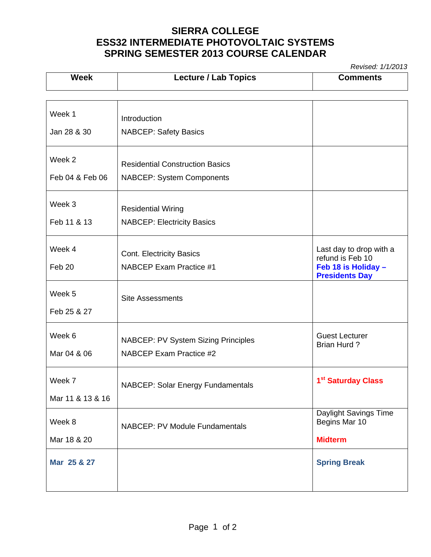## **SIERRA COLLEGE ESS32 INTERMEDIATE PHOTOVOLTAIC SYSTEMS SPRING SEMESTER 2013 COURSE CALENDAR**

*Revised: 1/1/2013* 

| <b>Week</b>      | <b>Lecture / Lab Topics</b>                | , 100000. <i>111201</i><br><b>Comments</b>                       |
|------------------|--------------------------------------------|------------------------------------------------------------------|
|                  |                                            |                                                                  |
| Week 1           | Introduction                               |                                                                  |
| Jan 28 & 30      | <b>NABCEP: Safety Basics</b>               |                                                                  |
| Week 2           | <b>Residential Construction Basics</b>     |                                                                  |
| Feb 04 & Feb 06  | <b>NABCEP: System Components</b>           |                                                                  |
| Week 3           | <b>Residential Wiring</b>                  |                                                                  |
| Feb 11 & 13      | <b>NABCEP: Electricity Basics</b>          |                                                                  |
| Week 4           | <b>Cont. Electricity Basics</b>            | Last day to drop with a                                          |
| Feb 20           | NABCEP Exam Practice #1                    | refund is Feb 10<br>Feb 18 is Holiday -<br><b>Presidents Day</b> |
| Week 5           | <b>Site Assessments</b>                    |                                                                  |
| Feb 25 & 27      |                                            |                                                                  |
| Week 6           | <b>NABCEP: PV System Sizing Principles</b> | <b>Guest Lecturer</b><br><b>Brian Hurd?</b>                      |
| Mar 04 & 06      | NABCEP Exam Practice #2                    |                                                                  |
| Week 7           | NABCEP: Solar Energy Fundamentals          | 1 <sup>st</sup> Saturday Class                                   |
| Mar 11 & 13 & 16 |                                            |                                                                  |
| Week 8           | <b>NABCEP: PV Module Fundamentals</b>      | Daylight Savings Time<br>Begins Mar 10                           |
| Mar 18 & 20      |                                            | <b>Midterm</b>                                                   |
| Mar 25 & 27      |                                            | <b>Spring Break</b>                                              |
|                  |                                            |                                                                  |